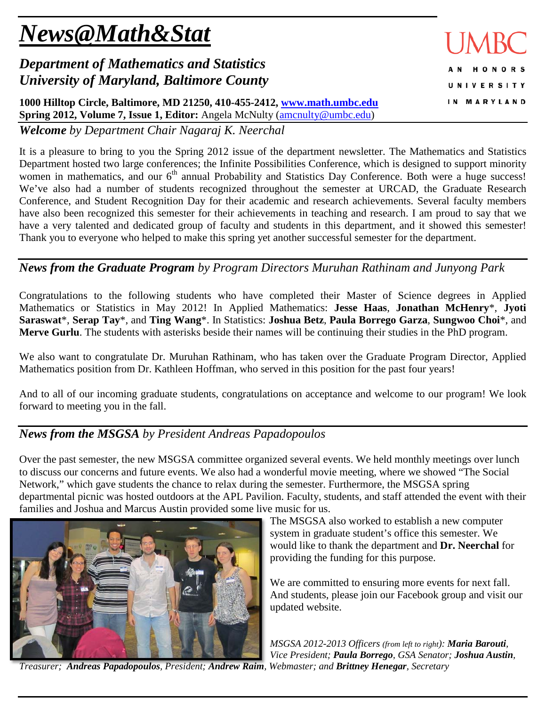# *News@Math&Stat*

# *Department of Mathematics and Statistics University of Maryland, Baltimore County*

**1000 Hilltop Circle, Baltimore, MD 21250, 410-455-2412, [www.math.umbc.edu](http://www.math.umbc.edu/) Spring 2012, Volume 7, Issue 1, Editor:** Angela McNulty [\(amcnulty@umbc.edu\)](mailto:amcnulty@umbc.edu)

*Welcome by Department Chair Nagaraj K. Neerchal*

It is a pleasure to bring to you the Spring 2012 issue of the department newsletter. The Mathematics and Statistics Department hosted two large conferences; the Infinite Possibilities Conference, which is designed to support minority women in mathematics, and our  $6<sup>th</sup>$  annual Probability and Statistics Day Conference. Both were a huge success! We've also had a number of students recognized throughout the semester at URCAD, the Graduate Research Conference, and Student Recognition Day for their academic and research achievements. Several faculty members have also been recognized this semester for their achievements in teaching and research. I am proud to say that we have a very talented and dedicated group of faculty and students in this department, and it showed this semester! Thank you to everyone who helped to make this spring yet another successful semester for the department.

# *News from the Graduate Program by Program Directors Muruhan Rathinam and Junyong Park*

Congratulations to the following students who have completed their Master of Science degrees in Applied Mathematics or Statistics in May 2012! In Applied Mathematics: **Jesse Haas**, **Jonathan McHenry**\*, **Jyoti Saraswat**\*, **Serap Tay**\*, and **Ting Wang**\*. In Statistics: **Joshua Betz**, **Paula Borrego Garza**, **Sungwoo Choi**\*, and **Merve Gurlu**. The students with asterisks beside their names will be continuing their studies in the PhD program.

We also want to congratulate Dr. Muruhan Rathinam, who has taken over the Graduate Program Director, Applied Mathematics position from Dr. Kathleen Hoffman, who served in this position for the past four years!

And to all of our incoming graduate students, congratulations on acceptance and welcome to our program! We look forward to meeting you in the fall.

# *News from the MSGSA by President Andreas Papadopoulos*

Over the past semester, the new MSGSA committee organized several events. We held monthly meetings over lunch to discuss our concerns and future events. We also had a wonderful movie meeting, where we showed "The Social Network," which gave students the chance to relax during the semester. Furthermore, the MSGSA spring departmental picnic was hosted outdoors at the APL Pavilion. Faculty, students, and staff attended the event with their families and Joshua and Marcus Austin provided some live music for us.

The MSGSA also worked to establish a new computer system in graduate student's office this semester. We would like to thank the department and **Dr. Neerchal** for providing the funding for this purpose.

We are committed to ensuring more events for next fall. And students, please join our Facebook group and visit our updated website.

*MSGSA 2012-2013 Officers (from left to right): Maria Barouti, Vice President; Paula Borrego, GSA Senator; Joshua Austin,* 

*Treasurer; Andreas Papadopoulos, President; Andrew Raim, Webmaster; and Brittney Henegar, Secretary*



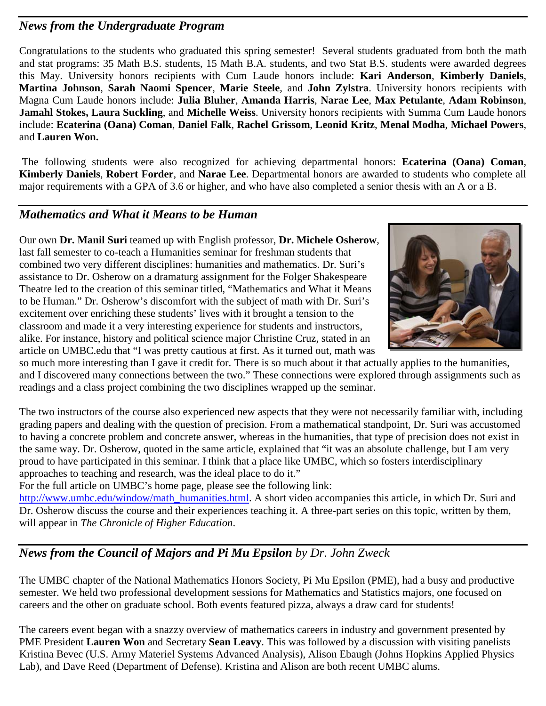## *News from the Undergraduate Program*

Congratulations to the students who graduated this spring semester! Several students graduated from both the math and stat programs: 35 Math B.S. students, 15 Math B.A. students, and two Stat B.S. students were awarded degrees this May. University honors recipients with Cum Laude honors include: **Kari Anderson**, **Kimberly Daniels**, **Martina Johnson**, **Sarah Naomi Spencer**, **Marie Steele**, and **John Zylstra**. University honors recipients with Magna Cum Laude honors include: **Julia Bluher**, **Amanda Harris**, **Narae Lee**, **Max Petulante**, **Adam Robinson**, **Jamahl Stokes, Laura Suckling**, and **Michelle Weiss**. University honors recipients with Summa Cum Laude honors include: **Ecaterina (Oana) Coman**, **Daniel Falk**, **Rachel Grissom**, **Leonid Kritz**, **Menal Modha**, **Michael Powers**, and **Lauren Won.**

The following students were also recognized for achieving departmental honors: **Ecaterina (Oana) Coman**, **Kimberly Daniels**, **Robert Forder**, and **Narae Lee**. Departmental honors are awarded to students who complete all major requirements with a GPA of 3.6 or higher, and who have also completed a senior thesis with an A or a B.

## *Mathematics and What it Means to be Human*

Our own **Dr. Manil Suri** teamed up with English professor, **Dr. Michele Osherow**, last fall semester to co-teach a Humanities seminar for freshman students that combined two very different disciplines: humanities and mathematics. Dr. Suri's assistance to Dr. Osherow on a dramaturg assignment for the Folger Shakespeare Theatre led to the creation of this seminar titled, "Mathematics and What it Means to be Human." Dr. Osherow's discomfort with the subject of math with Dr. Suri's excitement over enriching these students' lives with it brought a tension to the classroom and made it a very interesting experience for students and instructors, alike. For instance, history and political science major Christine Cruz, stated in an article on UMBC.edu that "I was pretty cautious at first. As it turned out, math was



so much more interesting than I gave it credit for. There is so much about it that actually applies to the humanities, and I discovered many connections between the two." These connections were explored through assignments such as readings and a class project combining the two disciplines wrapped up the seminar.

The two instructors of the course also experienced new aspects that they were not necessarily familiar with, including grading papers and dealing with the question of precision. From a mathematical standpoint, Dr. Suri was accustomed to having a concrete problem and concrete answer, whereas in the humanities, that type of precision does not exist in the same way. Dr. Osherow, quoted in the same article, explained that "it was an absolute challenge, but I am very proud to have participated in this seminar. I think that a place like UMBC, which so fosters interdisciplinary approaches to teaching and research, was the ideal place to do it."

For the full article on UMBC's home page, please see the following link:

[http://www.umbc.edu/window/math\\_humanities.html.](http://www.umbc.edu/window/math_humanities.html) A short video accompanies this article, in which Dr. Suri and Dr. Osherow discuss the course and their experiences teaching it. A three-part series on this topic, written by them, will appear in *The Chronicle of Higher Education*.

# *News from the Council of Majors and Pi Mu Epsilon by Dr. John Zweck*

The UMBC chapter of the National Mathematics Honors Society, Pi Mu Epsilon (PME), had a busy and productive semester. We held two professional development sessions for Mathematics and Statistics majors, one focused on careers and the other on graduate school. Both events featured pizza, always a draw card for students!

The careers event began with a snazzy overview of mathematics careers in industry and government presented by PME President **Lauren Won** and Secretary **Sean Leavy**. This was followed by a discussion with visiting panelists Kristina Bevec (U.S. Army Materiel Systems Advanced Analysis), Alison Ebaugh (Johns Hopkins Applied Physics Lab), and Dave Reed (Department of Defense). Kristina and Alison are both recent UMBC alums.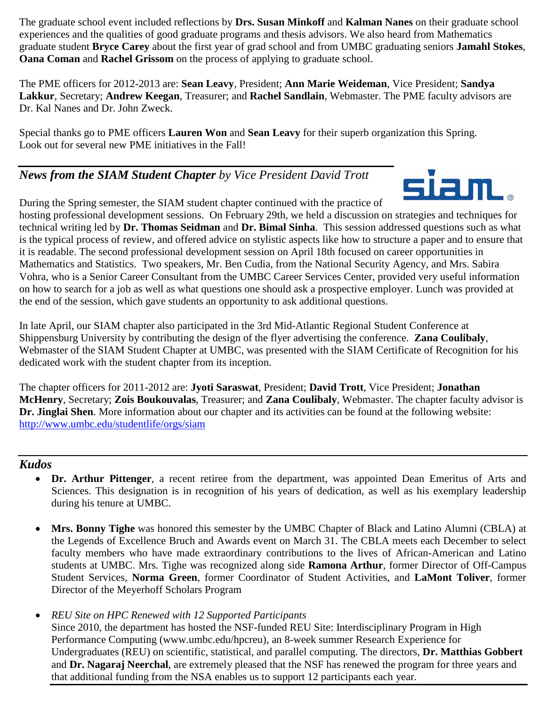The graduate school event included reflections by **Drs. Susan Minkoff** and **Kalman Nanes** on their graduate school experiences and the qualities of good graduate programs and thesis advisors. We also heard from Mathematics graduate student **Bryce Carey** about the first year of grad school and from UMBC graduating seniors **Jamahl Stokes**, **Oana Coman** and **Rachel Grissom** on the process of applying to graduate school.

The PME officers for 2012-2013 are: **Sean Leavy**, President; **Ann Marie Weideman**, Vice President; **Sandya Lakkur**, Secretary; **Andrew Keegan**, Treasurer; and **Rachel Sandlain**, Webmaster. The PME faculty advisors are Dr. Kal Nanes and Dr. John Zweck.

Special thanks go to PME officers **Lauren Won** and **Sean Leavy** for their superb organization this Spring. Look out for several new PME initiatives in the Fall!

### *News from the SIAM Student Chapter by Vice President David Trott*



During the Spring semester, the SIAM student chapter continued with the practice of hosting professional development sessions. On February 29th, we held a discussion on strategies and techniques for technical writing led by **Dr. Thomas Seidman** and **Dr. Bimal Sinha**. This session addressed questions such as what is the typical process of review, and offered advice on stylistic aspects like how to structure a paper and to ensure that it is readable. The second professional development session on April 18th focused on career opportunities in Mathematics and Statistics. Two speakers, Mr. Ben Cudia, from the National Security Agency, and Mrs. Sabira Vohra, who is a Senior Career Consultant from the UMBC Career Services Center, provided very useful information on how to search for a job as well as what questions one should ask a prospective employer. Lunch was provided at the end of the session, which gave students an opportunity to ask additional questions.

In late April, our SIAM chapter also participated in the 3rd Mid-Atlantic Regional Student Conference at Shippensburg University by contributing the design of the flyer advertising the conference. **Zana Coulibaly**, Webmaster of the SIAM Student Chapter at UMBC, was presented with the SIAM Certificate of Recognition for his dedicated work with the student chapter from its inception.

The chapter officers for 2011-2012 are: **Jyoti Saraswat**, President; **David Trott**, Vice President; **Jonathan McHenry**, Secretary; **Zois Boukouvalas**, Treasurer; and **Zana Coulibaly**, Webmaster. The chapter faculty advisor is **Dr. Jinglai Shen**. More information about our chapter and its activities can be found at the following website: <http://www.umbc.edu/studentlife/orgs/siam>

#### *Kudos*

- **Dr. Arthur Pittenger**, a recent retiree from the department, was appointed Dean Emeritus of Arts and Sciences. This designation is in recognition of his years of dedication, as well as his exemplary leadership during his tenure at UMBC.
- **Mrs. Bonny Tighe** was honored this semester by the UMBC Chapter of Black and Latino Alumni (CBLA) at the Legends of Excellence Bruch and Awards event on March 31. The CBLA meets each December to select faculty members who have made extraordinary contributions to the lives of African-American and Latino students at UMBC. Mrs. Tighe was recognized along side **Ramona Arthur**, former Director of Off-Campus Student Services, **Norma Green**, former Coordinator of Student Activities, and **LaMont Toliver**, former Director of the Meyerhoff Scholars Program
- *REU Site on HPC Renewed with 12 Supported Participants* Since 2010, the department has hosted the NSF-funded REU Site: Interdisciplinary Program in High Performance Computing (www.umbc.edu/hpcreu), an 8-week summer Research Experience for Undergraduates (REU) on scientific, statistical, and parallel computing. The directors, **Dr. Matthias Gobbert** and **Dr. Nagaraj Neerchal**, are extremely pleased that the NSF has renewed the program for three years and that additional funding from the NSA enables us to support 12 participants each year.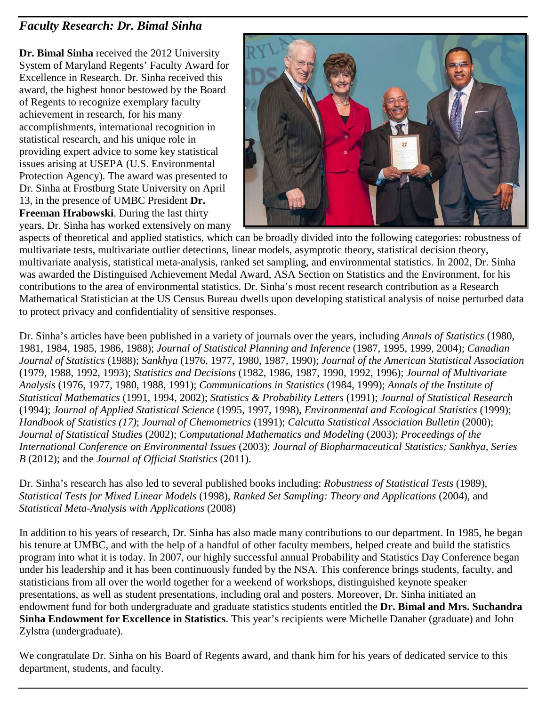## *Faculty Research: Dr. Bimal Sinha*

**Dr. Bimal Sinha** received the 2012 University System of Maryland Regents' Faculty Award for Excellence in Research. Dr. Sinha received this award, the highest honor bestowed by the Board of Regents to recognize exemplary faculty achievement in research, for his many accomplishments, international recognition in statistical research, and his unique role in providing expert advice to some key statistical issues arising at USEPA (U.S. Environmental Protection Agency). The award was presented to Dr. Sinha at Frostburg State University on April 13, in the presence of UMBC President **Dr. Freeman Hrabowski**. During the last thirty years, Dr. Sinha has worked extensively on many



aspects of theoretical and applied statistics, which can be broadly divided into the following categories: robustness of multivariate tests, multivariate outlier detections, linear models, asymptotic theory, statistical decision theory, multivariate analysis, statistical meta-analysis, ranked set sampling, and environmental statistics. In 2002, Dr. Sinha was awarded the Distinguised Achievement Medal Award, ASA Section on Statistics and the Environment, for his contributions to the area of environmental statistics. Dr. Sinha's most recent research contribution as a Research Mathematical Statistician at the US Census Bureau dwells upon developing statistical analysis of noise perturbed data to protect privacy and confidentiality of sensitive responses.

Dr. Sinha's articles have been published in a variety of journals over the years, including *Annals of Statistics* (1980, 1981, 1984, 1985, 1986, 1988); *Journal of Statistical Planning and Inference* (1987, 1995, 1999, 2004); *Canadian Journal of Statistics* (1988); *Sankhya* (1976, 1977, 1980, 1987, 1990); *Journal of the American Statistical Association* (1979, 1988, 1992, 1993); *Statistics and Decisions* (1982, 1986, 1987, 1990, 1992, 1996); *Journal of Multivariate Analysis* (1976, 1977, 1980, 1988, 1991); *Communications in Statistics* (1984, 1999); *Annals of the Institute of Statistical Mathematics* (1991, 1994, 2002); *Statistics & Probability Letters* (1991); *Journal of Statistical Research* (1994); *Journal of Applied Statistical Science* (1995, 1997, 1998), *Environmental and Ecological Statistics* (1999); *Handbook of Statistics (17)*; *Journal of Chemometrics* (1991); *Calcutta Statistical Association Bulletin* (2000); *Journal of Statistical Studies* (2002); *Computational Mathematics and Modeling* (2003); *Proceedings of the International Conference on Environmental Issues* (2003); *Journal of Biopharmaceutical Statistics; Sankhya, Series B* (2012); and the *Journal of Official Statistics* (2011).

Dr. Sinha's research has also led to several published books including: *Robustness of Statistical Tests* (1989), *Statistical Tests for Mixed Linear Models* (1998), *Ranked Set Sampling: Theory and Applications* (2004), and *Statistical Meta-Analysis with Applications* (2008)

In addition to his years of research, Dr. Sinha has also made many contributions to our department. In 1985, he began his tenure at UMBC, and with the help of a handful of other faculty members, helped create and build the statistics program into what it is today. In 2007, our highly successful annual Probability and Statistics Day Conference began under his leadership and it has been continuously funded by the NSA. This conference brings students, faculty, and statisticians from all over the world together for a weekend of workshops, distinguished keynote speaker presentations, as well as student presentations, including oral and posters. Moreover, Dr. Sinha initiated an endowment fund for both undergraduate and graduate statistics students entitled the **Dr. Bimal and Mrs. Suchandra Sinha Endowment for Excellence in Statistics**. This year's recipients were Michelle Danaher (graduate) and John Zylstra (undergraduate).

We congratulate Dr. Sinha on his Board of Regents award, and thank him for his years of dedicated service to this department, students, and faculty.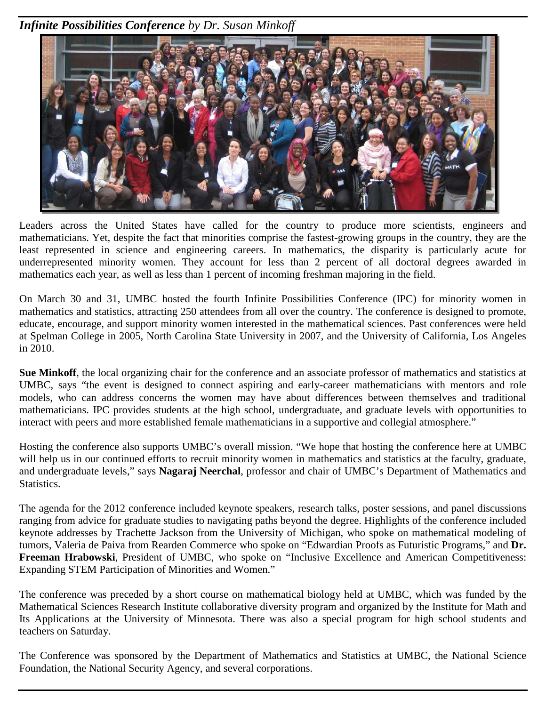*Infinite Possibilities Conference by Dr. Susan Minkoff*



Leaders across the United States have called for the country to produce more scientists, engineers and mathematicians. Yet, despite the fact that minorities comprise the fastest-growing groups in the country, they are the least represented in science and engineering careers. In mathematics, the disparity is particularly acute for underrepresented minority women. They account for less than 2 percent of all doctoral degrees awarded in mathematics each year, as well as less than 1 percent of incoming freshman majoring in the field.

On March 30 and 31, UMBC hosted the fourth Infinite Possibilities Conference (IPC) for minority women in mathematics and statistics, attracting 250 attendees from all over the country. The conference is designed to promote, educate, encourage, and support minority women interested in the mathematical sciences. Past conferences were held at Spelman College in 2005, North Carolina State University in 2007, and the University of California, Los Angeles in 2010.

**Sue Minkoff**, the local organizing chair for the conference and an associate professor of mathematics and statistics at UMBC, says "the event is designed to connect aspiring and early-career mathematicians with mentors and role models, who can address concerns the women may have about differences between themselves and traditional mathematicians. IPC provides students at the high school, undergraduate, and graduate levels with opportunities to interact with peers and more established female mathematicians in a supportive and collegial atmosphere."

Hosting the conference also supports UMBC's overall mission. "We hope that hosting the conference here at UMBC will help us in our continued efforts to recruit minority women in mathematics and statistics at the faculty, graduate, and undergraduate levels," says **Nagaraj Neerchal**, professor and chair of UMBC's Department of Mathematics and Statistics.

The agenda for the 2012 conference included keynote speakers, research talks, poster sessions, and panel discussions ranging from advice for graduate studies to navigating paths beyond the degree. Highlights of the conference included keynote addresses by Trachette Jackson from the University of Michigan, who spoke on mathematical modeling of tumors, Valeria de Paiva from Rearden Commerce who spoke on "Edwardian Proofs as Futuristic Programs," and **Dr. Freeman Hrabowski**, President of UMBC, who spoke on "Inclusive Excellence and American Competitiveness: Expanding STEM Participation of Minorities and Women."

The conference was preceded by a short course on mathematical biology held at UMBC, which was funded by the Mathematical Sciences Research Institute collaborative diversity program and organized by the Institute for Math and Its Applications at the University of Minnesota. There was also a special program for high school students and teachers on Saturday.

The Conference was sponsored by the Department of Mathematics and Statistics at UMBC, the National Science Foundation, the National Security Agency, and several corporations.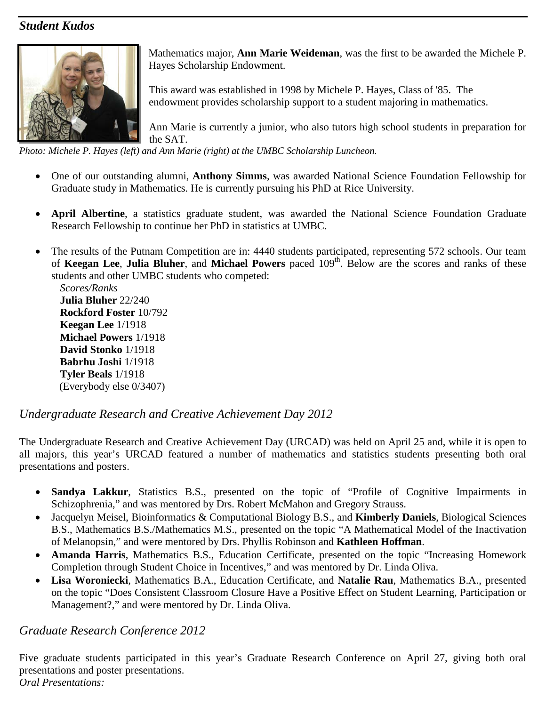#### *Student Kudos*



Mathematics major, **Ann Marie Weideman**, was the first to be awarded the Michele P. Hayes Scholarship Endowment.

This award was established in 1998 by Michele P. Hayes, Class of '85. The endowment provides scholarship support to a student majoring in mathematics.

Ann Marie is currently a junior, who also tutors high school students in preparation for the SAT.

*Photo: Michele P. Hayes (left) and Ann Marie (right) at the UMBC Scholarship Luncheon.*

- One of our outstanding alumni, **Anthony Simms**, was awarded National Science Foundation Fellowship for Graduate study in Mathematics. He is currently pursuing his PhD at Rice University.
- **April Albertine**, a statistics graduate student, was awarded the National Science Foundation Graduate Research Fellowship to continue her PhD in statistics at UMBC.
- The results of the Putnam Competition are in: 4440 students participated, representing 572 schools. Our team of **Keegan Lee**, Julia Bluher, and Michael Powers paced 109<sup>th</sup>. Below are the scores and ranks of these students and other UMBC students who competed:

*Scores/Ranks* **Julia Bluher** 22/240 **Rockford Foster** 10/792 **Keegan Lee** 1/1918 **Michael Powers** 1/1918 **David Stonko** 1/1918 **Babrhu Joshi** 1/1918 **Tyler Beals** 1/1918 (Everybody else 0/3407)

#### *Undergraduate Research and Creative Achievement Day 2012*

The Undergraduate Research and Creative Achievement Day (URCAD) was held on April 25 and, while it is open to all majors, this year's URCAD featured a number of mathematics and statistics students presenting both oral presentations and posters.

- **Sandya Lakkur**, Statistics B.S., presented on the topic of "Profile of Cognitive Impairments in Schizophrenia," and was mentored by Drs. Robert McMahon and Gregory Strauss.
- Jacquelyn Meisel, Bioinformatics & Computational Biology B.S., and **Kimberly Daniels**, Biological Sciences B.S., Mathematics B.S./Mathematics M.S., presented on the topic "A Mathematical Model of the Inactivation of Melanopsin," and were mentored by Drs. Phyllis Robinson and **Kathleen Hoffman**.
- **Amanda Harris**, Mathematics B.S., Education Certificate, presented on the topic "Increasing Homework Completion through Student Choice in Incentives," and was mentored by Dr. Linda Oliva.
- **Lisa Woroniecki**, Mathematics B.A., Education Certificate, and **Natalie Rau**, Mathematics B.A., presented on the topic "Does Consistent Classroom Closure Have a Positive Effect on Student Learning, Participation or Management?," and were mentored by Dr. Linda Oliva.

#### *Graduate Research Conference 2012*

Five graduate students participated in this year's Graduate Research Conference on April 27, giving both oral presentations and poster presentations. *Oral Presentations:*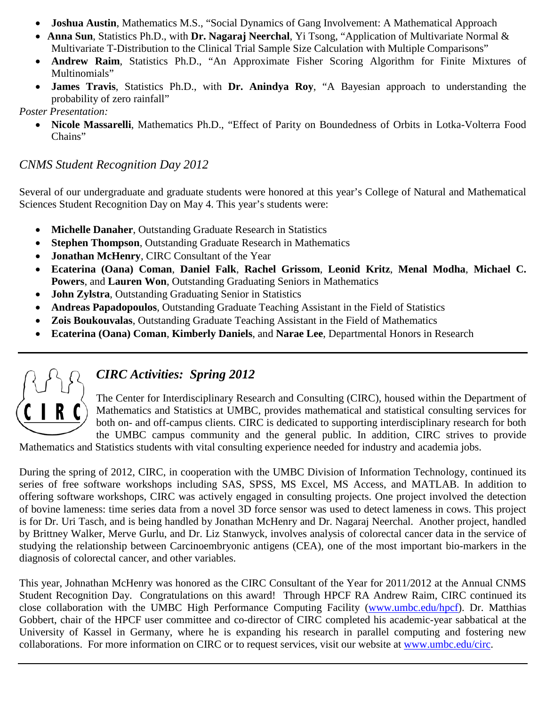- **Joshua Austin**, Mathematics M.S., "Social Dynamics of Gang Involvement: A Mathematical Approach
- **Anna Sun**, Statistics Ph.D., with **Dr. Nagaraj Neerchal**, Yi Tsong, "Application of Multivariate Normal & Multivariate T-Distribution to the Clinical Trial Sample Size Calculation with Multiple Comparisons"
- **Andrew Raim**, Statistics Ph.D., "An Approximate Fisher Scoring Algorithm for Finite Mixtures of Multinomials"
- **James Travis**, Statistics Ph.D., with **Dr. Anindya Roy**, "A Bayesian approach to understanding the probability of zero rainfall"

*Poster Presentation:*

• **Nicole Massarelli**, Mathematics Ph.D., "Effect of Parity on Boundedness of Orbits in Lotka-Volterra Food Chains"

#### *CNMS Student Recognition Day 2012*

Several of our undergraduate and graduate students were honored at this year's College of Natural and Mathematical Sciences Student Recognition Day on May 4. This year's students were:

- **Michelle Danaher**, Outstanding Graduate Research in Statistics
- **Stephen Thompson**, Outstanding Graduate Research in Mathematics
- **Jonathan McHenry**, CIRC Consultant of the Year
- **Ecaterina (Oana) Coman**, **Daniel Falk**, **Rachel Grissom**, **Leonid Kritz**, **Menal Modha**, **Michael C. Powers**, and **Lauren Won**, Outstanding Graduating Seniors in Mathematics
- **John Zylstra**, Outstanding Graduating Senior in Statistics
- **Andreas Papadopoulos**, Outstanding Graduate Teaching Assistant in the Field of Statistics
- **Zois Boukouvalas**, Outstanding Graduate Teaching Assistant in the Field of Mathematics
- **Ecaterina (Oana) Coman**, **Kimberly Daniels**, and **Narae Lee**, Departmental Honors in Research



# *CIRC Activities: Spring 2012*

The Center for Interdisciplinary Research and Consulting (CIRC), housed within the Department of Mathematics and Statistics at UMBC, provides mathematical and statistical consulting services for both on- and off-campus clients. CIRC is dedicated to supporting interdisciplinary research for both the UMBC campus community and the general public. In addition, CIRC strives to provide

Mathematics and Statistics students with vital consulting experience needed for industry and academia jobs.

During the spring of 2012, CIRC, in cooperation with the UMBC Division of Information Technology, continued its series of free software workshops including SAS, SPSS, MS Excel, MS Access, and MATLAB. In addition to offering software workshops, CIRC was actively engaged in consulting projects. One project involved the detection of bovine lameness: time series data from a novel 3D force sensor was used to detect lameness in cows. This project is for Dr. Uri Tasch, and is being handled by Jonathan McHenry and Dr. Nagaraj Neerchal. Another project, handled by Brittney Walker, Merve Gurlu, and Dr. Liz Stanwyck, involves analysis of colorectal cancer data in the service of studying the relationship between Carcinoembryonic antigens (CEA), one of the most important bio-markers in the diagnosis of colorectal cancer, and other variables.

This year, Johnathan McHenry was honored as the CIRC Consultant of the Year for 2011/2012 at the Annual CNMS Student Recognition Day. Congratulations on this award! Through HPCF RA Andrew Raim, CIRC continued its close collaboration with the UMBC High Performance Computing Facility [\(www.umbc.edu/hpcf\)](http://www.umbc.edu/hpcf). Dr. Matthias Gobbert, chair of the HPCF user committee and co-director of CIRC completed his academic-year sabbatical at the University of Kassel in Germany, where he is expanding his research in parallel computing and fostering new collaborations. For more information on CIRC or to request services, visit our website at [www.umbc.edu/circ.](http://www.umbc.edu/circ)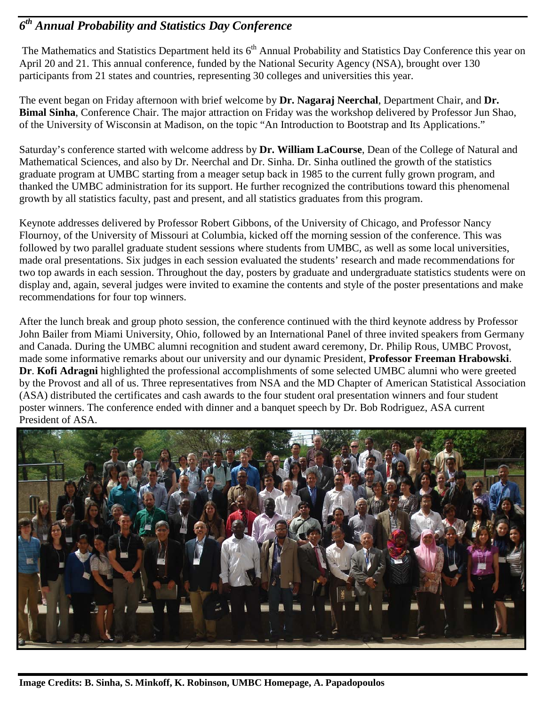## *6th Annual Probability and Statistics Day Conference*

The Mathematics and Statistics Department held its  $6<sup>th</sup>$  Annual Probability and Statistics Day Conference this year on April 20 and 21. This annual conference, funded by the National Security Agency (NSA), brought over 130 participants from 21 states and countries, representing 30 colleges and universities this year.

The event began on Friday afternoon with brief welcome by **Dr. Nagaraj Neerchal**, Department Chair, and **Dr. Bimal Sinha**, Conference Chair. The major attraction on Friday was the workshop delivered by Professor Jun Shao, of the University of Wisconsin at Madison, on the topic "An Introduction to Bootstrap and Its Applications."

Saturday's conference started with welcome address by **Dr. William LaCourse**, Dean of the College of Natural and Mathematical Sciences, and also by Dr. Neerchal and Dr. Sinha. Dr. Sinha outlined the growth of the statistics graduate program at UMBC starting from a meager setup back in 1985 to the current fully grown program, and thanked the UMBC administration for its support. He further recognized the contributions toward this phenomenal growth by all statistics faculty, past and present, and all statistics graduates from this program.

Keynote addresses delivered by Professor Robert Gibbons, of the University of Chicago, and Professor Nancy Flournoy, of the University of Missouri at Columbia, kicked off the morning session of the conference. This was followed by two parallel graduate student sessions where students from UMBC, as well as some local universities, made oral presentations. Six judges in each session evaluated the students' research and made recommendations for two top awards in each session. Throughout the day, posters by graduate and undergraduate statistics students were on display and, again, several judges were invited to examine the contents and style of the poster presentations and make recommendations for four top winners.

After the lunch break and group photo session, the conference continued with the third keynote address by Professor John Bailer from Miami University, Ohio, followed by an International Panel of three invited speakers from Germany and Canada. During the UMBC alumni recognition and student award ceremony, Dr. Philip Rous, UMBC Provost, made some informative remarks about our university and our dynamic President, **Professor Freeman Hrabowski**. **Dr**. **Kofi Adragni** highlighted the professional accomplishments of some selected UMBC alumni who were greeted by the Provost and all of us. Three representatives from NSA and the MD Chapter of American Statistical Association (ASA) distributed the certificates and cash awards to the four student oral presentation winners and four student poster winners. The conference ended with dinner and a banquet speech by Dr. Bob Rodriguez, ASA current President of ASA.

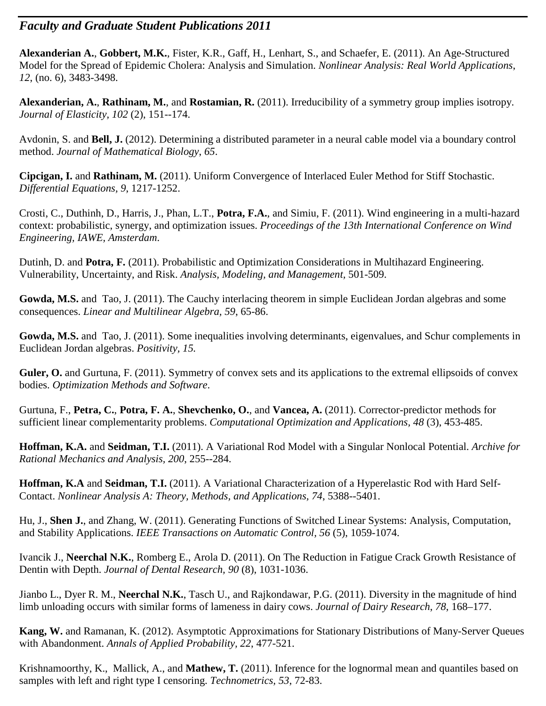#### *Faculty and Graduate Student Publications 2011*

**Alexanderian A.**, **Gobbert, M.K.**, Fister, K.R., Gaff, H., Lenhart, S., and Schaefer, E. (2011). An Age-Structured Model for the Spread of Epidemic Cholera: Analysis and Simulation. *Nonlinear Analysis: Real World Applications*, *12*, (no. 6), 3483-3498.

**Alexanderian, A.**, **Rathinam, M.**, and **Rostamian, R.** (2011). Irreducibility of a symmetry group implies isotropy. *Journal of Elasticity, 102* (2), 151--174.

Avdonin, S. and **Bell, J.** (2012). Determining a distributed parameter in a neural cable model via a boundary control method. *Journal of Mathematical Biology*, *65*.

**Cipcigan, I.** and **Rathinam, M.** (2011). Uniform Convergence of Interlaced Euler Method for Stiff Stochastic. *Differential Equations, 9*, 1217-1252.

Crosti, C., Duthinh, D., Harris, J., Phan, L.T., **Potra, F.A.**, and Simiu, F. (2011). Wind engineering in a multi-hazard context: probabilistic, synergy, and optimization issues. *Proceedings of the 13th International Conference on Wind Engineering, IAWE, Amsterdam*.

Dutinh, D. and **Potra, F.** (2011). Probabilistic and Optimization Considerations in Multihazard Engineering. Vulnerability, Uncertainty, and Risk. *Analysis, Modeling, and Management,* 501-509.

**Gowda, M.S.** and Tao, J. (2011). The Cauchy interlacing theorem in simple Euclidean Jordan algebras and some consequences. *Linear and Multilinear Algebra, 59*, 65-86.

**Gowda, M.S.** and Tao, J. (2011). Some inequalities involving determinants, eigenvalues, and Schur complements in Euclidean Jordan algebras. *Positivity, 15.*

**Guler, O.** and Gurtuna, F. (2011). Symmetry of convex sets and its applications to the extremal ellipsoids of convex bodies. *Optimization Methods and Software*.

Gurtuna, F., **Petra, C.**, **Potra, F. A.**, **Shevchenko, O.**, and **Vancea, A.** (2011). Corrector-predictor methods for sufficient linear complementarity problems. *Computational Optimization and Applications, 48* (3), 453-485.

**Hoffman, K.A.** and **Seidman, T.I.** (2011). A Variational Rod Model with a Singular Nonlocal Potential. *Archive for Rational Mechanics and Analysis, 200*, 255--284.

**Hoffman, K.A** and **Seidman, T.I.** (2011). A Variational Characterization of a Hyperelastic Rod with Hard Self-Contact. *Nonlinear Analysis A: Theory, Methods, and Applications, 74*, 5388--5401.

Hu, J., **Shen J.**, and Zhang, W. (2011). Generating Functions of Switched Linear Systems: Analysis, Computation, and Stability Applications. *IEEE Transactions on Automatic Control, 56* (5), 1059-1074.

Ivancik J., **Neerchal N.K.**, Romberg E., Arola D. (2011). On The Reduction in Fatigue Crack Growth Resistance of Dentin with Depth. *Journal of Dental Research, 90* (8), 1031-1036.

Jianbo L., Dyer R. M., **Neerchal N.K.**, Tasch U., and Rajkondawar, P.G. (2011). Diversity in the magnitude of hind limb unloading occurs with similar forms of lameness in dairy cows. *Journal of Dairy Research*, *78*, 168–177.

**Kang, W.** and Ramanan, K. (2012). Asymptotic Approximations for Stationary Distributions of Many-Server Queues with Abandonment. *Annals of Applied Probability, 22*, 477-521.

Krishnamoorthy, K., Mallick, A., and **Mathew, T.** (2011). Inference for the lognormal mean and quantiles based on samples with left and right type I censoring. *Technometrics, 53*, 72-83.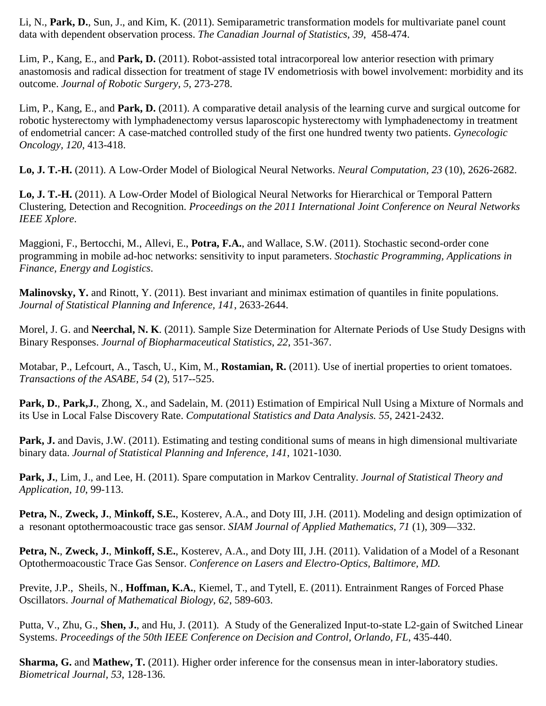Li, N., **Park, D.**, Sun, J., and Kim, K. (2011). Semiparametric transformation models for multivariate panel count data with dependent observation process. *The Canadian Journal of Statistics, 39*, 458-474.

Lim, P., Kang, E., and **Park, D.** (2011). Robot-assisted total intracorporeal low anterior resection with primary anastomosis and radical dissection for treatment of stage IV endometriosis with bowel involvement: morbidity and its outcome. *Journal of Robotic Surgery, 5*, 273-278.

Lim, P., Kang, E., and **Park, D.** (2011). A comparative detail analysis of the learning curve and surgical outcome for robotic hysterectomy with lymphadenectomy versus laparoscopic hysterectomy with lymphadenectomy in treatment of endometrial cancer: A case-matched controlled study of the first one hundred twenty two patients. *Gynecologic Oncology, 120*, 413-418.

**Lo, J. T.-H.** (2011). A Low-Order Model of Biological Neural Networks. *Neural Computation, 23* (10), 2626-2682.

**Lo, J. T.-H.** (2011). A Low-Order Model of Biological Neural Networks for Hierarchical or Temporal Pattern Clustering, Detection and Recognition. *Proceedings on the 2011 International Joint Conference on Neural Networks IEEE Xplore*.

Maggioni, F., Bertocchi, M., Allevi, E., **Potra, F.A.**, and Wallace, S.W. (2011). Stochastic second-order cone programming in mobile ad-hoc networks: sensitivity to input parameters. *Stochastic Programming, Applications in Finance, Energy and Logistics*.

**Malinovsky, Y.** and Rinott, Y. (2011). Best invariant and minimax estimation of quantiles in finite populations. *Journal of Statistical Planning and Inference, 141*, 2633-2644.

Morel, J. G. and **Neerchal, N. K**. (2011). Sample Size Determination for Alternate Periods of Use Study Designs with Binary Responses. *Journal of Biopharmaceutical Statistics*, *22*, 351-367.

Motabar, P., Lefcourt, A., Tasch, U., Kim, M., **Rostamian, R.** (2011). Use of inertial properties to orient tomatoes. *Transactions of the ASABE, 54* (2), 517--525.

**Park, D.**, **Park,J.**, Zhong, X., and Sadelain, M. (2011) Estimation of Empirical Null Using a Mixture of Normals and its Use in Local False Discovery Rate. *Computational Statistics and Data Analysis. 55*, 2421-2432.

Park, J. and Davis, J.W. (2011). Estimating and testing conditional sums of means in high dimensional multivariate binary data. *Journal of Statistical Planning and Inference, 141*, 1021-1030.

**Park, J.**, Lim, J., and Lee, H. (2011). Spare computation in Markov Centrality. *Journal of Statistical Theory and Application, 10*, 99-113.

**Petra, N.**, **Zweck, J.**, **Minkoff, S.E.**, Kosterev, A.A., and Doty III, J.H. (2011). Modeling and design optimization of a resonant optothermoacoustic trace gas sensor. *SIAM Journal of Applied Mathematics, 71* (1), 309—332.

**Petra, N.**, **Zweck, J.**, **Minkoff, S.E.**, Kosterev, A.A., and Doty III, J.H. (2011). Validation of a Model of a Resonant Optothermoacoustic Trace Gas Sensor. *Conference on Lasers and Electro-Optics, Baltimore, MD.*

Previte, J.P., Sheils, N., **Hoffman, K.A.**, Kiemel, T., and Tytell, E. (2011). Entrainment Ranges of Forced Phase Oscillators. *Journal of Mathematical Biology, 62*, 589-603.

Putta, V., Zhu, G., **Shen, J.**, and Hu, J. (2011). A Study of the Generalized Input-to-state L2-gain of Switched Linear Systems. *Proceedings of the 50th IEEE Conference on Decision and Control, Orlando, FL*, 435-440.

**Sharma, G.** and **Mathew, T.** (2011). Higher order inference for the consensus mean in inter-laboratory studies. *Biometrical Journal, 53*, 128-136.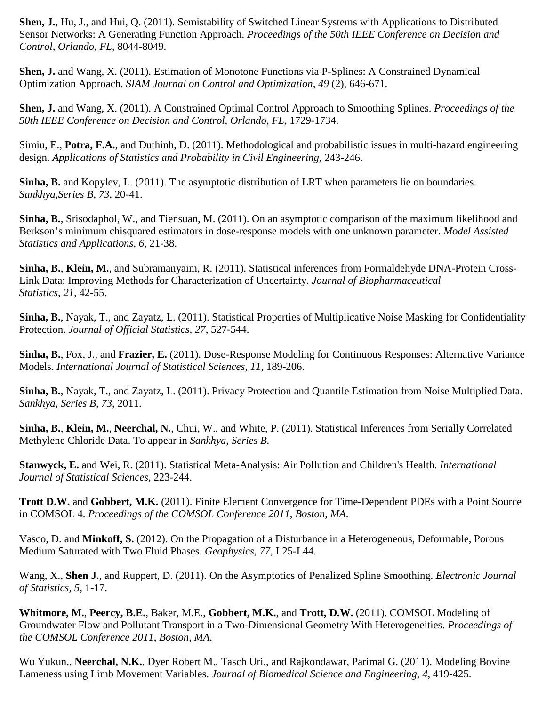**Shen, J.**, Hu, J., and Hui, Q. (2011). Semistability of Switched Linear Systems with Applications to Distributed Sensor Networks: A Generating Function Approach. *Proceedings of the 50th IEEE Conference on Decision and Control, Orlando, FL*, 8044-8049.

**Shen, J.** and Wang, X. (2011). Estimation of Monotone Functions via P-Splines: A Constrained Dynamical Optimization Approach. *SIAM Journal on Control and Optimization, 49* (2), 646-671.

**Shen, J.** and Wang, X. (2011). A Constrained Optimal Control Approach to Smoothing Splines. *Proceedings of the 50th IEEE Conference on Decision and Control, Orlando, FL*, 1729-1734.

Simiu, E., **Potra, F.A.**, and Duthinh, D. (2011). Methodological and probabilistic issues in multi-hazard engineering design. *Applications of Statistics and Probability in Civil Engineering,* 243-246.

**Sinha, B.** and Kopylev, L. (2011). The asymptotic distribution of LRT when parameters lie on boundaries. *Sankhya,Series B, 73*, 20-41.

**Sinha, B.**, Srisodaphol, W., and Tiensuan, M. (2011). On an asymptotic comparison of the maximum likelihood and Berkson's minimum chisquared estimators in dose-response models with one unknown parameter. *Model Assisted Statistics and Applications, 6*, 21-38.

**Sinha, B.**, **Klein, M.**, and Subramanyaim, R. (2011). Statistical inferences from Formaldehyde DNA-Protein Cross-Link Data: Improving Methods for Characterization of Uncertainty. *Journal of Biopharmaceutical Statistics, 21,* 42-55.

**Sinha, B.**, Nayak, T., and Zayatz, L. (2011). Statistical Properties of Multiplicative Noise Masking for Confidentiality Protection. *Journal of Official Statistics, 27*, 527-544.

**Sinha, B.**, Fox, J., and **Frazier, E.** (2011). Dose-Response Modeling for Continuous Responses: Alternative Variance Models. *International Journal of Statistical Sciences, 11*, 189-206.

**Sinha, B.**, Nayak, T., and Zayatz, L. (2011). Privacy Protection and Quantile Estimation from Noise Multiplied Data. *Sankhya, Series B, 73*, 2011.

**Sinha, B.**, **Klein, M.**, **Neerchal, N.**, Chui, W., and White, P. (2011). Statistical Inferences from Serially Correlated Methylene Chloride Data. To appear in *Sankhya, Series B.*

**Stanwyck, E.** and Wei, R. (2011). Statistical Meta-Analysis: Air Pollution and Children's Health. *International Journal of Statistical Sciences*, 223-244.

**Trott D.W.** and **Gobbert, M.K.** (2011). Finite Element Convergence for Time-Dependent PDEs with a Point Source in COMSOL 4. *Proceedings of the COMSOL Conference 2011*, *Boston, MA*.

Vasco, D. and **Minkoff, S.** (2012). On the Propagation of a Disturbance in a Heterogeneous, Deformable, Porous Medium Saturated with Two Fluid Phases. *Geophysics, 77*, L25-L44.

Wang, X., **Shen J.**, and Ruppert, D. (2011). On the Asymptotics of Penalized Spline Smoothing. *Electronic Journal of Statistics, 5*, 1-17.

**Whitmore, M.**, **Peercy, B.E.**, Baker, M.E., **Gobbert, M.K.**, and **Trott, D.W.** (2011). COMSOL Modeling of Groundwater Flow and Pollutant Transport in a Two-Dimensional Geometry With Heterogeneities. *Proceedings of the COMSOL Conference 2011*, *Boston, MA*.

Wu Yukun., **Neerchal, N.K.**, Dyer Robert M., Tasch Uri., and Rajkondawar, Parimal G. (2011). Modeling Bovine Lameness using Limb Movement Variables. *Journal of Biomedical Science and Engineering*, *4*, 419-425.